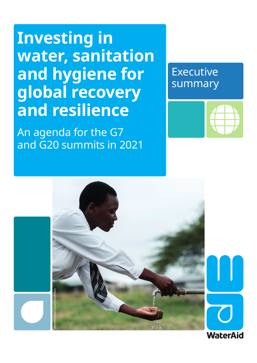## **Investing in water, sanitation and hygiene for global recovery and resilience**

An agenda for the G7 and G20 summits in 2021

## **Executive** summary





**WaterAid**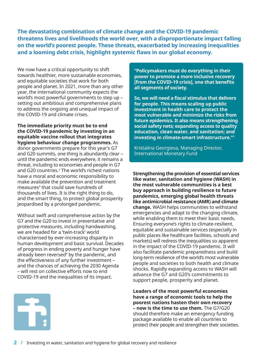**The devastating combination of climate change and the COVID-19 pandemic threatens lives and livelihoods the world over, with a disproportionate impact falling on the world's poorest people. These threats, exacerbated by increasing inequalities and a looming debt crisis, highlight systemic flaws in our global economy.** 

We now have a critical opportunity to shift towards healthier, more sustainable economies, and equitable societies that work for both people and planet. In 2021, more than any other year, the international community expects the world's most powerful governments to step up – setting out ambitious and comprehensive plans to address the ongoing and unequal impact of the COVID-19 and climate crises.

**The immediate priority must be to end the COVID-19 pandemic by investing in an equitable vaccine rollout that integrates hygiene behaviour change programmes.** As donor governments prepare for this year's G7 and G20 summits, one thing is abundantly clear – until the pandemic ends everywhere, it remains a threat, including to economies and people in G7 and G20 countries. $2$  The world's richest nations have a moral and economic responsibility to make available the prevention and treatment measures<sup>3</sup> that could save hundreds of thousands of lives. It is the right thing to do, and the smart thing, to protect global prosperity jeopardised by a prolonged pandemic.

Without swift and comprehensive action by the G7 and the G20 to invest in preventative and protective measures, including handwashing, we are headed for a 'twin-track' world characterised by ever-increasing disparity in human development and basic survival. Decades of progress in ending poverty and hunger have already been reversed<sup>4</sup> by the pandemic, and the effectiveness of any further investment – and the chances of achieving the 2030 Agenda – will rest on collective efforts now to end COVID-19 and the inequalities of its impact.



**So, we will need a fiscal stimulus that delivers for people. This means scaling up public investment in health care to protect the most vulnerable and minimize the risks from future epidemics. It also means strengthening social safety nets; expanding access to quality education, clean water, and sanitation; and investing in climate-smart infrastructure."1**

Kristalina Georgieva, Managing Director, International Monetary Fund

**Strengthening the provision of essential services like water, sanitation and hygiene (WASH) in the most vulnerable communities is a best buy approach in building resilience to future pandemics, emerging global health threats like antimicrobial resistance (AMR) and climate change.** WASH helps communities to withstand emergencies and adapt to the changing climate, while enabling them to meet their basic needs. Ensuring everyone's rights to climate-resilient, equitable and sustainable services (especially in public places like healthcare facilities, schools and markets) will redress the inequalities so apparent in the impact of the COVID-19 pandemic. It will also facilitate pandemic preparedness and build long-term resilience of the world's most vulnerable people and societies to both health and climate shocks. Rapidly expanding access to WASH will advance the G7 and G20's commitments to support people, prosperity and planet.

**Leaders of the most powerful economies have a range of economic tools to help the poorest nations hasten their own recovery – now is the time to use them.** The G7/G20 should therefore make an emergency funding package available to enable all countries to protect their people and strengthen their societies.